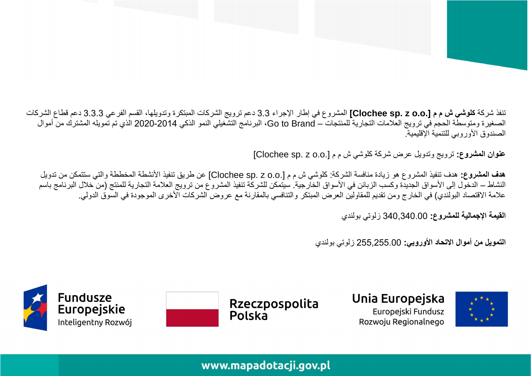**هدف المشروع:** هدف تنفيذ المشروع هو زيادة منافسة الشركة: كلو شي ش م م ].o.o z .sp Clochee ]عن طريق تنفيذ األنشطة المخططة والتي ستتمكن من تدويل النشاط – الدخول إلى الأسواق الجديدة وكسب الزبائن في الأسواق الخارجية. سيتمكن للشركة تنفيذ المشروع من ترويج العلامة التجارية للمنتج (من خلال البرنامج باسم علامة الاقتصاد البولندي) في الخارج ومن تقديم للمقاولين العرض المبتكر والتنافسي بالمقارنة مع عروض الشركات الأخرى الموجودة في السوق الدولي.

تنفذ شركة **كلوشي ش م م ].o.o z .sp Clochee ]**المشروع في إطار اإلجراء 3.3 دعم ترويج الشركات المبتكرة وتدويلها، القسم الفرعي 3.3.3 دعم قطاع الشركات الصغيرة ومتوسطة الحجم في ترويج العلامات التجارية للمنتجات – Go to Brand، البرنامج التشغيلي النمو الذكي 2014-2020 الذي تم تمويله المشترك من أموال

**عنوان المشروع:** ترويج وتدويل عرض شركة كلوشي ش م م ].o.o z .sp Clochee]

**القيمة اإلجمالية للمشروع:** 340,340.00 زلوتي بولندي

**التمويل من أموال االتحاد األوروبي:** 255,255.00 زلوتي بولندي

Unia Europejska Europejski Fundusz Rozwoju Regionalnego





## www.mapadotacji.gov.pl

الصندوق الأوروبي للتنمية الإقليمية.